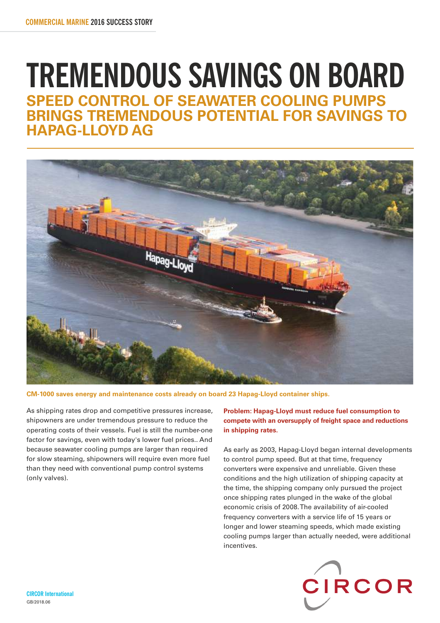# **TREMENDOUS SAVINGS ON BOARD SPEED CONTROL OF SEAWATER COOLING PUMPS BRINGS TREMENDOUS POTENTIAL FOR SAVINGS TO HAPAG-LLOYD AG**



**CM-1000 saves energy and maintenance costs already on board 23 Hapag-Lloyd container ships.**

As shipping rates drop and competitive pressures increase, shipowners are under tremendous pressure to reduce the operating costs of their vessels. Fuel is still the number-one factor for savings, even with today's lower fuel prices.. And because seawater cooling pumps are larger than required for slow steaming, shipowners will require even more fuel than they need with conventional pump control systems (only valves).

**Problem: Hapag-Lloyd must reduce fuel consumption to compete with an oversupply of freight space and reductions in shipping rates.** 

As early as 2003, Hapag-Lloyd began internal developments to control pump speed. But at that time, frequency converters were expensive and unreliable. Given these conditions and the high utilization of shipping capacity at the time, the shipping company only pursued the project once shipping rates plunged in the wake of the global economic crisis of 2008. The availability of air-cooled frequency converters with a service life of 15 years or longer and lower steaming speeds, which made existing cooling pumps larger than actually needed, were additional incentives.

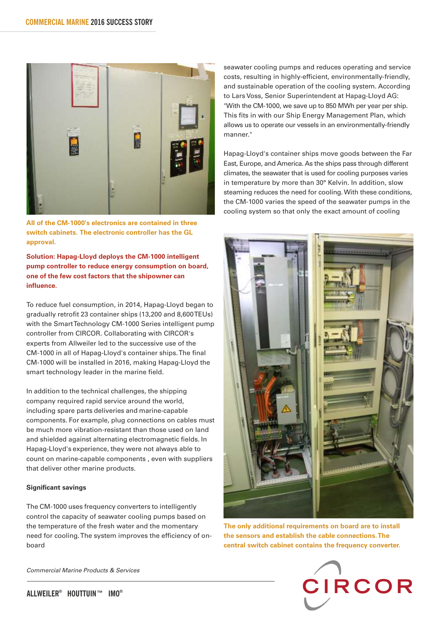

**All of the CM-1000's electronics are contained in three switch cabinets. The electronic controller has the GL approval.**

**Solution: Hapag-Lloyd deploys the CM-1000 intelligent pump controller to reduce energy consumption on board, one of the few cost factors that the shipowner can influence.**

To reduce fuel consumption, in 2014, Hapag-Lloyd began to gradually retrofit 23 container ships (13,200 and 8,600 TEUs) with the Smart Technology CM-1000 Series intelligent pump controller from CIRCOR. Collaborating with CIRCOR's experts from Allweiler led to the successive use of the CM-1000 in all of Hapag-Lloyd's container ships. The final CM-1000 will be installed in 2016, making Hapag-Lloyd the smart technology leader in the marine field.

In addition to the technical challenges, the shipping company required rapid service around the world, including spare parts deliveries and marine-capable components. For example, plug connections on cables must be much more vibration-resistant than those used on land and shielded against alternating electromagnetic fields. In Hapag-Lloyd's experience, they were not always able to count on marine-capable components , even with suppliers that deliver other marine products.

### **Significant savings**

The CM-1000 uses frequency converters to intelligently control the capacity of seawater cooling pumps based on the temperature of the fresh water and the momentary need for cooling. The system improves the efficiency of onboard

Commercial Marine Products & Services

seawater cooling pumps and reduces operating and service costs, resulting in highly-efficient, environmentally-friendly, and sustainable operation of the cooling system. According to Lars Voss, Senior Superintendent at Hapag-Lloyd AG: "With the CM-1000, we save up to 850 MWh per year per ship. This fits in with our Ship Energy Management Plan, which allows us to operate our vessels in an environmentally-friendly manner."

Hapag-Lloyd's container ships move goods between the Far East, Europe, and America. As the ships pass through different climates, the seawater that is used for cooling purposes varies in temperature by more than 30° Kelvin. In addition, slow steaming reduces the need for cooling. With these conditions, the CM-1000 varies the speed of the seawater pumps in the cooling system so that only the exact amount of cooling



**The only additional requirements on board are to install the sensors and establish the cable connections. The central switch cabinet contains the frequency converter.**

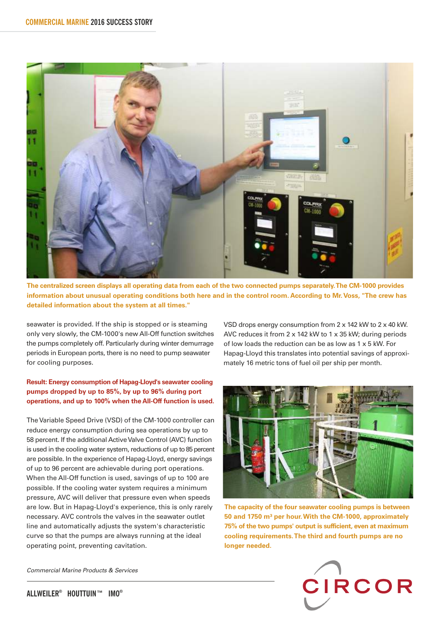

**The centralized screen displays all operating data from each of the two connected pumps separately. The CM-1000 provides information about unusual operating conditions both here and in the control room. According to Mr. Voss, "The crew has detailed information about the system at all times."**

seawater is provided. If the ship is stopped or is steaming only very slowly, the CM-1000's new All-Off function switches the pumps completely off. Particularly during winter demurrage periods in European ports, there is no need to pump seawater for cooling purposes.

## **Result: Energy consumption of Hapag-Lloyd's seawater cooling pumps dropped by up to 85%, by up to 96% during port operations, and up to 100% when the All-Off function is used.**

The Variable Speed Drive (VSD) of the CM-1000 controller can reduce energy consumption during sea operations by up to 58 percent. If the additional Active Valve Control (AVC) function is used in the cooling water system, reductions of up to 85 percent are possible. In the experience of Hapag-Lloyd, energy savings of up to 96 percent are achievable during port operations. When the All-Off function is used, savings of up to 100 are possible. If the cooling water system requires a minimum pressure, AVC will deliver that pressure even when speeds are low. But in Hapag-Lloyd's experience, this is only rarely necessary. AVC controls the valves in the seawater outlet line and automatically adjusts the system's characteristic curve so that the pumps are always running at the ideal operating point, preventing cavitation.

Commercial Marine Products & Services

VSD drops energy consumption from 2 x 142 kW to 2 x 40 kW. AVC reduces it from 2 x 142 kW to 1 x 35 kW; during periods of low loads the reduction can be as low as 1 x 5 kW. For Hapag-Lloyd this translates into potential savings of approximately 16 metric tons of fuel oil per ship per month.



**The capacity of the four seawater cooling pumps is between 50 and 1750 m³ per hour. With the CM-1000, approximately 75% of the two pumps' output is sufficient, even at maximum cooling requirements. The third and fourth pumps are no longer needed.**

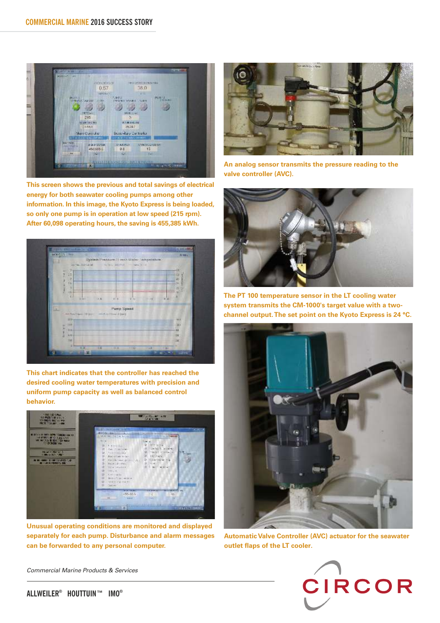

**This screen shows the previous and total savings of electrical energy for both seawater cooling pumps among other information. In this image, the Kyoto Express is being loaded, so only one pump is in operation at low speed (215 rpm). After 60,098 operating hours, the saving is 455,385 kWh.**



**This chart indicates that the controller has reached the desired cooling water temperatures with precision and uniform pump capacity as well as balanced control behavior.**



**Unusual operating conditions are monitored and displayed separately for each pump. Disturbance and alarm messages can be forwarded to any personal computer.**



**An analog sensor transmits the pressure reading to the valve controller (AVC).**



**The PT 100 temperature sensor in the LT cooling water system transmits the CM-1000's target value with a twochannel output. The set point on the Kyoto Express is 24 °C.**



**Automatic Valve Controller (AVC) actuator for the seawater outlet flaps of the LT cooler.**



Commercial Marine Products & Services

**® ® ALLWEILER HOUTTUIN™ IMO**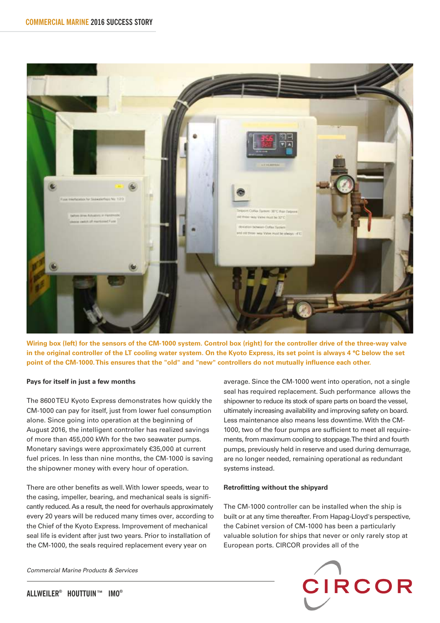

**Wiring box (left) for the sensors of the CM-1000 system. Control box (right) for the controller drive of the three-way valve in the original controller of the LT cooling water system. On the Kyoto Express, its set point is always 4 °C below the set point of the CM-1000. This ensures that the "old" and "new" controllers do not mutually influence each other.**

#### **Pays for itself in just a few months**

The 8600 TEU Kyoto Express demonstrates how quickly the CM-1000 can pay for itself, just from lower fuel consumption alone. Since going into operation at the beginning of August 2016, the intelligent controller has realized savings of more than 455,000 kWh for the two seawater pumps. Monetary savings were approximately €35,000 at current fuel prices. In less than nine months, the CM-1000 is saving the shipowner money with every hour of operation.

There are other benefits as well. With lower speeds, wear to the casing, impeller, bearing, and mechanical seals is significantly reduced. As a result, the need for overhauls approximately every 20 years will be reduced many times over, according to the Chief of the Kyoto Express. Improvement of mechanical seal life is evident after just two years. Prior to installation of the CM-1000, the seals required replacement every year on

Commercial Marine Products & Services

average. Since the CM-1000 went into operation, not a single seal has required replacement. Such performance allows the shipowner to reduce its stock of spare parts on board the vessel, ultimately increasing availability and improving safety on board. Less maintenance also means less downtime. With the CM-1000, two of the four pumps are sufficient to meet all requirements, from maximum cooling to stoppage. The third and fourth pumps, previously held in reserve and used during demurrage, are no longer needed, remaining operational as redundant systems instead.

#### **Retrofitting without the shipyard**

The CM-1000 controller can be installed when the ship is built or at any time thereafter. From Hapag-Lloyd's perspective, the Cabinet version of CM-1000 has been a particularly valuable solution for ships that never or only rarely stop at European ports. CIRCOR provides all of the